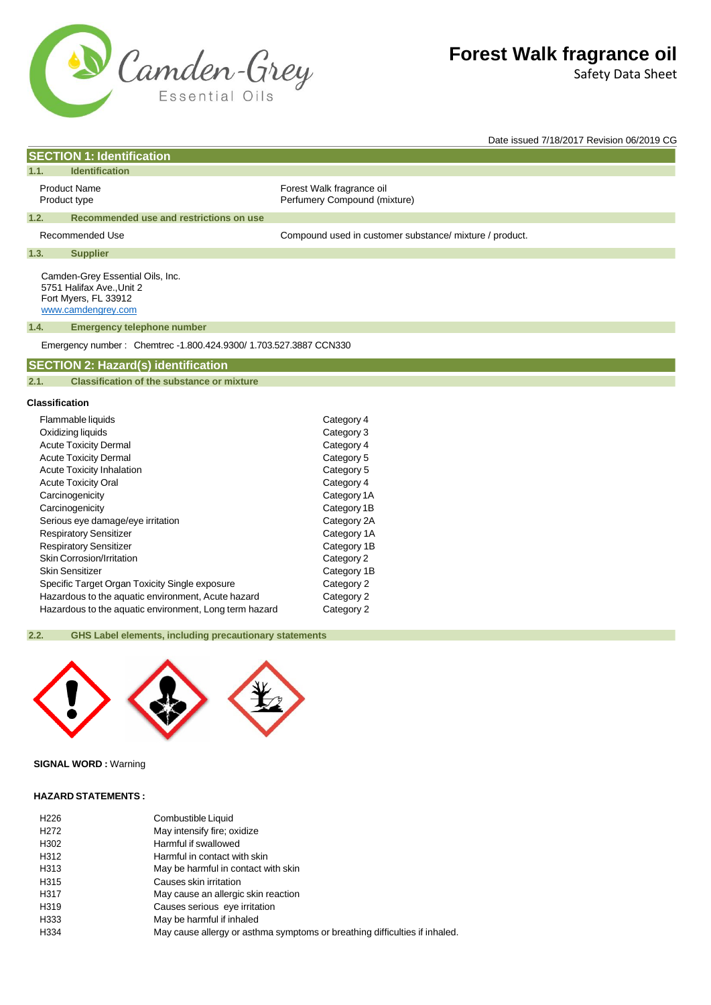

**SECTION 1: Identification**

# **Forest Walk fragrance oil**

Safety Data Sheet

Date issued 7/18/2017 Revision 06/2019 CG

| 1.1.                                | <b>Identification</b>                                                                                       |                                                           |  |
|-------------------------------------|-------------------------------------------------------------------------------------------------------------|-----------------------------------------------------------|--|
| <b>Product Name</b><br>Product type |                                                                                                             | Forest Walk fragrance oil<br>Perfumery Compound (mixture) |  |
| 1.2.                                | Recommended use and restrictions on use                                                                     |                                                           |  |
| Recommended Use                     |                                                                                                             | Compound used in customer substance/ mixture / product.   |  |
| 1.3.                                | <b>Supplier</b>                                                                                             |                                                           |  |
|                                     | Camden-Grey Essential Oils, Inc.<br>5751 Halifax Ave., Unit 2<br>Fort Myers, FL 33912<br>www.camdengrey.com |                                                           |  |
| 1.4.                                | <b>Emergency telephone number</b>                                                                           |                                                           |  |
|                                     | Emergency number: Chemtrec -1.800.424.9300/ 1.703.527.3887 CCN330                                           |                                                           |  |
|                                     | <b>SECTION 2: Hazard(s) identification</b>                                                                  |                                                           |  |
| 2.1.                                | <b>Classification of the substance or mixture</b>                                                           |                                                           |  |
|                                     | <b>Classification</b>                                                                                       |                                                           |  |
| Flammable liquids                   |                                                                                                             | Category 4                                                |  |
| Oxidizing liquids                   |                                                                                                             | Category 3                                                |  |
| Acute Tovicity Dermal               |                                                                                                             | Category A                                                |  |

| Oxidizing liquids                                      | Category 3  |
|--------------------------------------------------------|-------------|
| <b>Acute Toxicity Dermal</b>                           | Category 4  |
| <b>Acute Toxicity Dermal</b>                           | Category 5  |
| <b>Acute Toxicity Inhalation</b>                       | Category 5  |
| <b>Acute Toxicity Oral</b>                             | Category 4  |
| Carcinogenicity                                        | Category 1A |
| Carcinogenicity                                        | Category 1B |
| Serious eye damage/eye irritation                      | Category 2A |
| <b>Respiratory Sensitizer</b>                          | Category 1A |
| <b>Respiratory Sensitizer</b>                          | Category 1B |
| Skin Corrosion/Irritation                              | Category 2  |
| Skin Sensitizer                                        | Category 1B |
| Specific Target Organ Toxicity Single exposure         | Category 2  |
| Hazardous to the aquatic environment, Acute hazard     | Category 2  |
| Hazardous to the aquatic environment, Long term hazard | Category 2  |
|                                                        |             |

## **2.2. GHS Label elements, including precautionary statements**



## **SIGNAL WORD :** Warning

## **HAZARD STATEMENTS :**

| H <sub>226</sub> | Combustible Liquid                                                         |
|------------------|----------------------------------------------------------------------------|
| H <sub>272</sub> | May intensify fire; oxidize                                                |
| H302             | Harmful if swallowed                                                       |
| H312             | Harmful in contact with skin                                               |
| H313             | May be harmful in contact with skin                                        |
| H315             | Causes skin irritation                                                     |
| H317             | May cause an allergic skin reaction                                        |
| H319             | Causes serious eye irritation                                              |
| H333             | May be harmful if inhaled                                                  |
| H334             | May cause allergy or asthma symptoms or breathing difficulties if inhaled. |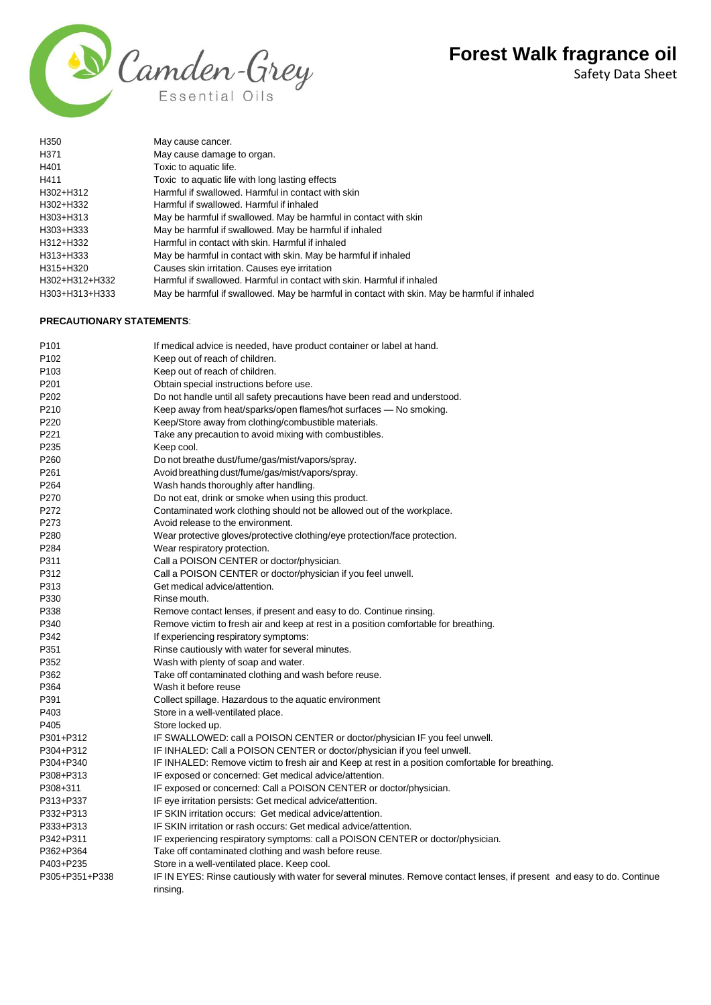Safety Data Sheet



| H <sub>350</sub> | May cause cancer.                                                                           |
|------------------|---------------------------------------------------------------------------------------------|
| H371             | May cause damage to organ.                                                                  |
| H401             | Toxic to aquatic life.                                                                      |
| H411             | Toxic to aquatic life with long lasting effects                                             |
| H302+H312        | Harmful if swallowed. Harmful in contact with skin                                          |
| H302+H332        | Harmful if swallowed. Harmful if inhaled                                                    |
| H303+H313        | May be harmful if swallowed. May be harmful in contact with skin                            |
| H303+H333        | May be harmful if swallowed. May be harmful if inhaled                                      |
| H312+H332        | Harmful in contact with skin. Harmful if inhaled                                            |
| H313+H333        | May be harmful in contact with skin. May be harmful if inhaled                              |
| H315+H320        | Causes skin irritation. Causes eye irritation                                               |
| H302+H312+H332   | Harmful if swallowed. Harmful in contact with skin. Harmful if inhaled                      |
| H303+H313+H333   | May be harmful if swallowed. May be harmful in contact with skin. May be harmful if inhaled |

## **PRECAUTIONARY STATEMENTS**:

| P <sub>101</sub> | If medical advice is needed, have product container or label at hand.                                                   |
|------------------|-------------------------------------------------------------------------------------------------------------------------|
| P <sub>102</sub> | Keep out of reach of children.                                                                                          |
| P <sub>103</sub> | Keep out of reach of children.                                                                                          |
| P201             | Obtain special instructions before use.                                                                                 |
| P <sub>202</sub> | Do not handle until all safety precautions have been read and understood.                                               |
| P210             | Keep away from heat/sparks/open flames/hot surfaces — No smoking.                                                       |
| P220             | Keep/Store away from clothing/combustible materials.                                                                    |
| P221             | Take any precaution to avoid mixing with combustibles.                                                                  |
| P235             | Keep cool.                                                                                                              |
| P <sub>260</sub> | Do not breathe dust/fume/gas/mist/vapors/spray.                                                                         |
| P <sub>261</sub> | Avoid breathing dust/fume/gas/mist/vapors/spray.                                                                        |
| P264             | Wash hands thoroughly after handling.                                                                                   |
| P270             | Do not eat, drink or smoke when using this product.                                                                     |
| P272             | Contaminated work clothing should not be allowed out of the workplace.                                                  |
| P273             | Avoid release to the environment.                                                                                       |
| P280             | Wear protective gloves/protective clothing/eye protection/face protection.                                              |
| P284             | Wear respiratory protection.                                                                                            |
| P311             | Call a POISON CENTER or doctor/physician.                                                                               |
| P312             | Call a POISON CENTER or doctor/physician if you feel unwell.                                                            |
| P313             | Get medical advice/attention.                                                                                           |
| P330             | Rinse mouth.                                                                                                            |
| P338             | Remove contact lenses, if present and easy to do. Continue rinsing.                                                     |
| P340             | Remove victim to fresh air and keep at rest in a position comfortable for breathing.                                    |
| P342             | If experiencing respiratory symptoms:                                                                                   |
| P351             | Rinse cautiously with water for several minutes.                                                                        |
| P352             | Wash with plenty of soap and water.                                                                                     |
| P362             | Take off contaminated clothing and wash before reuse.                                                                   |
| P364             | Wash it before reuse                                                                                                    |
| P391             | Collect spillage. Hazardous to the aquatic environment                                                                  |
| P403             | Store in a well-ventilated place.                                                                                       |
| P405             | Store locked up.                                                                                                        |
| P301+P312        | IF SWALLOWED: call a POISON CENTER or doctor/physician IF you feel unwell.                                              |
| P304+P312        | IF INHALED: Call a POISON CENTER or doctor/physician if you feel unwell.                                                |
| P304+P340        | IF INHALED: Remove victim to fresh air and Keep at rest in a position comfortable for breathing.                        |
| P308+P313        | IF exposed or concerned: Get medical advice/attention.                                                                  |
| P308+311         | IF exposed or concerned: Call a POISON CENTER or doctor/physician.                                                      |
| P313+P337        | IF eye irritation persists: Get medical advice/attention.                                                               |
| P332+P313        | IF SKIN irritation occurs: Get medical advice/attention.                                                                |
| P333+P313        | IF SKIN irritation or rash occurs: Get medical advice/attention.                                                        |
| P342+P311        | IF experiencing respiratory symptoms: call a POISON CENTER or doctor/physician.                                         |
| P362+P364        | Take off contaminated clothing and wash before reuse.                                                                   |
| P403+P235        | Store in a well-ventilated place. Keep cool.                                                                            |
| P305+P351+P338   | IF IN EYES: Rinse cautiously with water for several minutes. Remove contact lenses, if present and easy to do. Continue |
|                  | rinsing.                                                                                                                |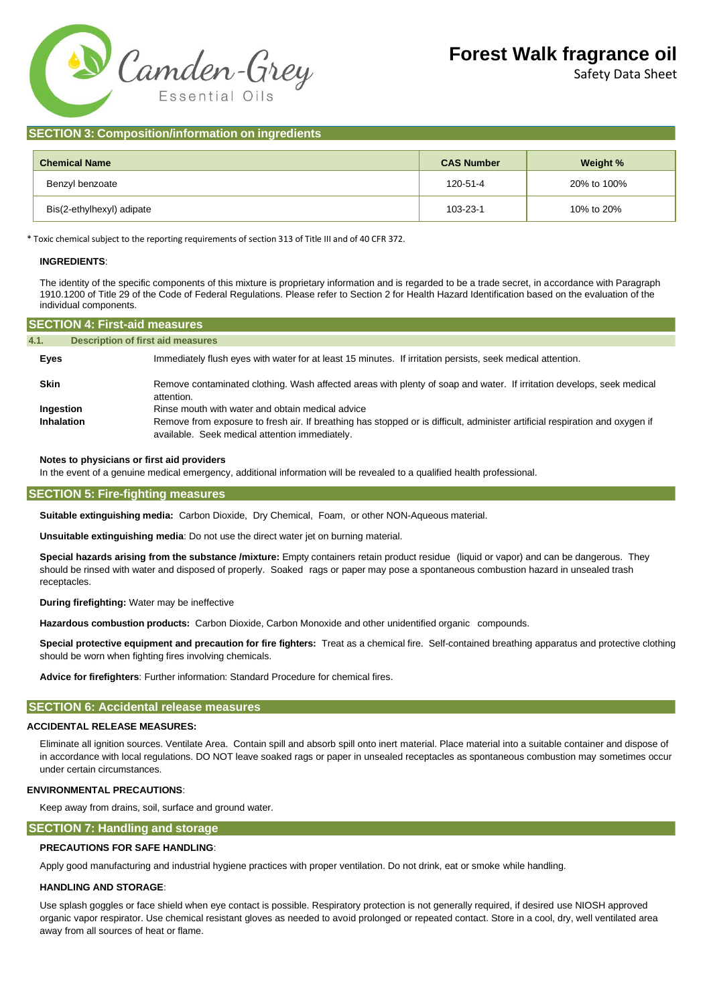

Safety Data Sheet

## **SECTION 3: Composition/information on ingredients**

| <b>Chemical Name</b>      | <b>CAS Number</b> | Weight %    |  |
|---------------------------|-------------------|-------------|--|
| Benzyl benzoate           | 120-51-4          | 20% to 100% |  |
| Bis(2-ethylhexyl) adipate | 103-23-1          | 10% to 20%  |  |

\* Toxic chemical subject to the reporting requirements of section 313 of Title III and of 40 CFR 372.

#### **INGREDIENTS**:

The identity of the specific components of this mixture is proprietary information and is regarded to be a trade secret, in accordance with Paragraph 1910.1200 of Title 29 of the Code of Federal Regulations. Please refer to Section 2 for Health Hazard Identification based on the evaluation of the individual components.

| <b>SECTION 4: First-aid measures,</b> |                                                                                                                                                                                |  |
|---------------------------------------|--------------------------------------------------------------------------------------------------------------------------------------------------------------------------------|--|
| 4.1.                                  | <b>Description of first aid measures</b>                                                                                                                                       |  |
| Eyes                                  | Immediately flush eyes with water for at least 15 minutes. If irritation persists, seek medical attention.                                                                     |  |
| <b>Skin</b>                           | Remove contaminated clothing. Wash affected areas with plenty of soap and water. If irritation develops, seek medical<br>attention.                                            |  |
| Ingestion                             | Rinse mouth with water and obtain medical advice                                                                                                                               |  |
| <b>Inhalation</b>                     | Remove from exposure to fresh air. If breathing has stopped or is difficult, administer artificial respiration and oxygen if<br>available. Seek medical attention immediately. |  |

#### **Notes to physicians or first aid providers**

In the event of a genuine medical emergency, additional information will be revealed to a qualified health professional.

#### **SECTION 5: Fire-fighting measures**

**Suitable extinguishing media:** Carbon Dioxide, Dry Chemical, Foam, or other NON-Aqueous material.

**Unsuitable extinguishing media**: Do not use the direct water jet on burning material.

**Special hazards arising from the substance /mixture:** Empty containers retain product residue (liquid or vapor) and can be dangerous. They should be rinsed with water and disposed of properly. Soaked rags or paper may pose a spontaneous combustion hazard in unsealed trash receptacles.

**During firefighting:** Water may be ineffective

**Hazardous combustion products:** Carbon Dioxide, Carbon Monoxide and other unidentified organic compounds.

**Special protective equipment and precaution for fire fighters:** Treat as a chemical fire. Self-contained breathing apparatus and protective clothing should be worn when fighting fires involving chemicals.

**Advice for firefighters**: Further information: Standard Procedure for chemical fires.

#### **SECTION 6: Accidental release measures**

#### **ACCIDENTAL RELEASE MEASURES:**

Eliminate all ignition sources. Ventilate Area. Contain spill and absorb spill onto inert material. Place material into a suitable container and dispose of in accordance with local regulations. DO NOT leave soaked rags or paper in unsealed receptacles as spontaneous combustion may sometimes occur under certain circumstances.

#### **ENVIRONMENTAL PRECAUTIONS**:

Keep away from drains, soil, surface and ground water.

## **SECTION 7: Handling and storage**

### **PRECAUTIONS FOR SAFE HANDLING**:

Apply good manufacturing and industrial hygiene practices with proper ventilation. Do not drink, eat or smoke while handling.

#### **HANDLING AND STORAGE**:

Use splash goggles or face shield when eye contact is possible. Respiratory protection is not generally required, if desired use NIOSH approved organic vapor respirator. Use chemical resistant gloves as needed to avoid prolonged or repeated contact. Store in a cool, dry, well ventilated area away from all sources of heat or flame.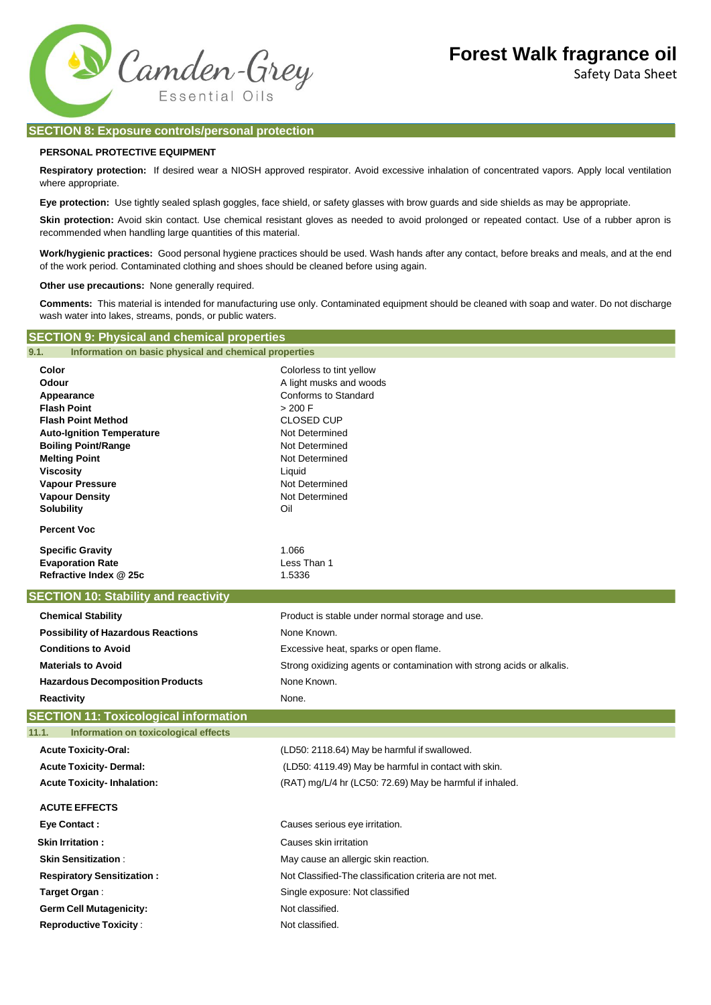Safety Data Sheet



## **SECTION 8: Exposure controls/personal protection**

## **PERSONAL PROTECTIVE EQUIPMENT**

**Respiratory protection:** If desired wear a NIOSH approved respirator. Avoid excessive inhalation of concentrated vapors. Apply local ventilation where appropriate.

**Eye protection:** Use tightly sealed splash goggles, face shield, or safety glasses with brow guards and side shields as may be appropriate.

Skin protection: Avoid skin contact. Use chemical resistant gloves as needed to avoid prolonged or repeated contact. Use of a rubber apron is recommended when handling large quantities of this material.

**Work/hygienic practices:** Good personal hygiene practices should be used. Wash hands after any contact, before breaks and meals, and at the end of the work period. Contaminated clothing and shoes should be cleaned before using again.

**Other use precautions:** None generally required.

**Comments:** This material is intended for manufacturing use only. Contaminated equipment should be cleaned with soap and water. Do not discharge wash water into lakes, streams, ponds, or public waters.

## **SECTION 9: Physical and chemical properties**

| 9.1.<br>Information on basic physical and chemical properties  |                                                                        |  |  |
|----------------------------------------------------------------|------------------------------------------------------------------------|--|--|
| Color                                                          | Colorless to tint yellow                                               |  |  |
| Odour                                                          | A light musks and woods                                                |  |  |
| Appearance                                                     | Conforms to Standard                                                   |  |  |
| <b>Flash Point</b>                                             | > 200 F                                                                |  |  |
| <b>Flash Point Method</b>                                      | <b>CLOSED CUP</b>                                                      |  |  |
| <b>Auto-Ignition Temperature</b><br><b>Boiling Point/Range</b> | Not Determined<br>Not Determined                                       |  |  |
| <b>Melting Point</b>                                           | Not Determined                                                         |  |  |
| <b>Viscosity</b>                                               | Liquid                                                                 |  |  |
| <b>Vapour Pressure</b>                                         | Not Determined                                                         |  |  |
| <b>Vapour Density</b>                                          | Not Determined                                                         |  |  |
| <b>Solubility</b>                                              | Oil                                                                    |  |  |
| <b>Percent Voc</b>                                             |                                                                        |  |  |
| <b>Specific Gravity</b>                                        | 1.066                                                                  |  |  |
| <b>Evaporation Rate</b>                                        | Less Than 1                                                            |  |  |
| Refractive Index @ 25c                                         | 1.5336                                                                 |  |  |
| <b>SECTION 10: Stability and reactivity</b>                    |                                                                        |  |  |
| <b>Chemical Stability</b>                                      | Product is stable under normal storage and use.                        |  |  |
| <b>Possibility of Hazardous Reactions</b>                      | None Known.                                                            |  |  |
| <b>Conditions to Avoid</b>                                     | Excessive heat, sparks or open flame.                                  |  |  |
| <b>Materials to Avoid</b>                                      | Strong oxidizing agents or contamination with strong acids or alkalis. |  |  |
| <b>Hazardous Decomposition Products</b>                        | None Known.                                                            |  |  |
| <b>Reactivity</b>                                              | None.                                                                  |  |  |
| <b>SECTION 11: Toxicological information</b>                   |                                                                        |  |  |
| 11.1.<br>Information on toxicological effects                  |                                                                        |  |  |
| <b>Acute Toxicity-Oral:</b>                                    | (LD50: 2118.64) May be harmful if swallowed.                           |  |  |
| <b>Acute Toxicity- Dermal:</b>                                 | (LD50: 4119.49) May be harmful in contact with skin.                   |  |  |
| <b>Acute Toxicity-Inhalation:</b>                              | (RAT) mg/L/4 hr (LC50: 72.69) May be harmful if inhaled.               |  |  |
| <b>ACUTE EFFECTS</b>                                           |                                                                        |  |  |
| <b>Eye Contact:</b>                                            | Causes serious eye irritation.                                         |  |  |
| <b>Skin Irritation:</b>                                        | Causes skin irritation                                                 |  |  |
| <b>Skin Sensitization:</b>                                     | May cause an allergic skin reaction.                                   |  |  |
| <b>Respiratory Sensitization:</b>                              | Not Classified-The classification criteria are not met.                |  |  |
| Target Organ:                                                  | Single exposure: Not classified                                        |  |  |
| <b>Germ Cell Mutagenicity:</b>                                 | Not classified.                                                        |  |  |
| <b>Reproductive Toxicity:</b>                                  | Not classified.                                                        |  |  |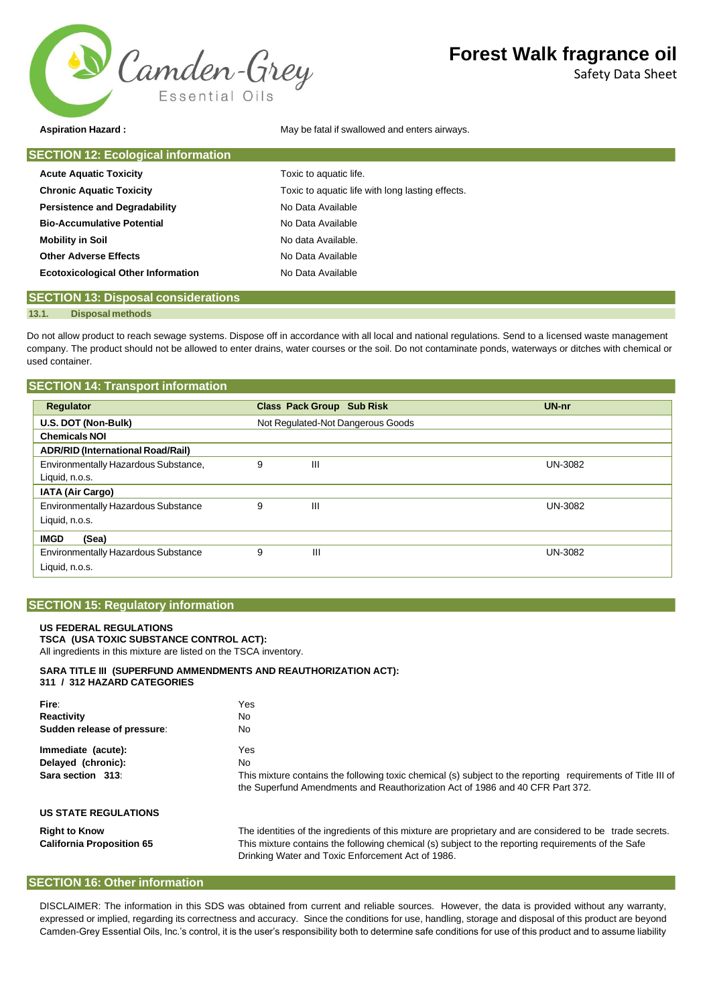

Safety Data Sheet

**Aspiration Hazard :** May be fatal if swallowed and enters airways.

| <b>SECTION 12: Ecological information</b> |                                                  |
|-------------------------------------------|--------------------------------------------------|
| <b>Acute Aquatic Toxicity</b>             | Toxic to aquatic life.                           |
| <b>Chronic Aquatic Toxicity</b>           | Toxic to aquatic life with long lasting effects. |
| <b>Persistence and Degradability</b>      | No Data Available                                |
| <b>Bio-Accumulative Potential</b>         | No Data Available                                |
| <b>Mobility in Soil</b>                   | No data Available.                               |
| <b>Other Adverse Effects</b>              | No Data Available                                |
| <b>Ecotoxicological Other Information</b> | No Data Available                                |
|                                           |                                                  |

## **SECTION 13: Disposal considerations**

#### **13.1. Disposal methods**

Do not allow product to reach sewage systems. Dispose off in accordance with all local and national regulations. Send to a licensed waste management company. The product should not be allowed to enter drains, water courses or the soil. Do not contaminate ponds, waterways or ditches with chemical or used container.

| <b>SECTION 14: Transport information</b>   |   |                                   |                |
|--------------------------------------------|---|-----------------------------------|----------------|
| <b>Regulator</b>                           |   | <b>Class Pack Group Sub Risk</b>  | UN-nr          |
| U.S. DOT (Non-Bulk)                        |   | Not Regulated-Not Dangerous Goods |                |
| <b>Chemicals NOI</b>                       |   |                                   |                |
| <b>ADR/RID (International Road/Rail)</b>   |   |                                   |                |
| Environmentally Hazardous Substance,       | 9 | Ш                                 | <b>UN-3082</b> |
| Liquid, n.o.s.                             |   |                                   |                |
| IATA (Air Cargo)                           |   |                                   |                |
| Environmentally Hazardous Substance        |   | Ш                                 | <b>UN-3082</b> |
| Liquid, n.o.s.                             |   |                                   |                |
| <b>IMGD</b><br>(Sea)                       |   |                                   |                |
| <b>Environmentally Hazardous Substance</b> | 9 | Ш                                 | <b>UN-3082</b> |
| Liquid, n.o.s.                             |   |                                   |                |

### **SECTION 15: Regulatory information**

#### **US FEDERAL REGULATIONS TSCA (USA TOXIC SUBSTANCE CONTROL ACT):**

All ingredients in this mixture are listed on the TSCA inventory.

#### **SARA TITLE III (SUPERFUND AMMENDMENTS AND REAUTHORIZATION ACT): 311 / 312 HAZARD CATEGORIES**

| Fire:<br>Reactivity<br>Sudden release of pressure: | Yes<br>No.<br>No.                                                                                                                                                                             |
|----------------------------------------------------|-----------------------------------------------------------------------------------------------------------------------------------------------------------------------------------------------|
| Immediate (acute):                                 | Yes                                                                                                                                                                                           |
| Delayed (chronic):                                 | No.                                                                                                                                                                                           |
| Sara section 313:                                  | This mixture contains the following toxic chemical (s) subject to the reporting requirements of Title III of<br>the Superfund Amendments and Reauthorization Act of 1986 and 40 CFR Part 372. |
| <b>US STATE REGULATIONS</b>                        |                                                                                                                                                                                               |
| <b>Right to Know</b>                               | The identities of the ingredients of this mixture are proprietary and are considered to be trade secrets.                                                                                     |
| <b>California Proposition 65</b>                   | This mixture contains the following chemical (s) subject to the reporting requirements of the Safe<br>Drinking Water and Toxic Enforcement Act of 1986.                                       |

## **SECTION 16: Other information**

DISCLAIMER: The information in this SDS was obtained from current and reliable sources. However, the data is provided without any warranty, expressed or implied, regarding its correctness and accuracy. Since the conditions for use, handling, storage and disposal of this product are beyond Camden-Grey Essential Oils, Inc.'s control, it is the user's responsibility both to determine safe conditions for use of this product and to assume liability